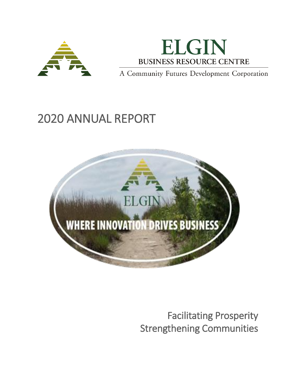



A Community Futures Development Corporation

# 2020 ANNUAL REPORT



Facilitating Prosperity Strengthening Communities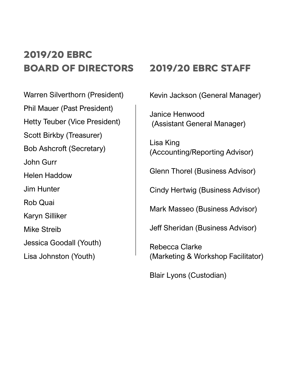## **2019/20 EBRC BOARD OF DIRECTORS**

Warren Silverthorn (President) Phil Mauer (Past President) Hetty Teuber (Vice President) Scott Birkby (Treasurer) Bob Ashcroft (Secretary) John Gurr Helen Haddow Jim Hunter Rob Quai Karyn Silliker Mike Streib Jessica Goodall (Youth) Lisa Johnston (Youth)

### **2019/20 EBRC STAFF**

Kevin Jackson (General Manager)

Janice Henwood (Assistant General Manager)

Lisa King (Accounting/Reporting Advisor)

Glenn Thorel (Business Advisor)

Cindy Hertwig (Business Advisor)

Mark Masseo (Business Advisor)

Jeff Sheridan (Business Advisor)

Rebecca Clarke (Marketing & Workshop Facilitator)

Blair Lyons (Custodian)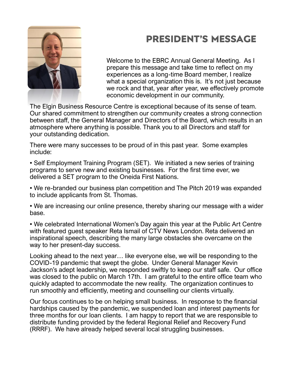

### **PRESIDENT'S MESSAGE**

Welcome to the EBRC Annual General Meeting. As I prepare this message and take time to reflect on my experiences as a long-time Board member, I realize what a special organization this is. It's not just because we rock and that, year after year, we effectively promote economic development in our community.

The Elgin Business Resource Centre is exceptional because of its sense of team. Our shared commitment to strengthen our community creates a strong connection between staff, the General Manager and Directors of the Board, which results in an atmosphere where anything is possible. Thank you to all Directors and staff for your outstanding dedication.

There were many successes to be proud of in this past year. Some examples include:

• Self Employment Training Program (SET). We initiated a new series of training programs to serve new and existing businesses. For the first time ever, we delivered a SET program to the Oneida First Nations.

• We re-branded our business plan competition and The Pitch 2019 was expanded to include applicants from St. Thomas.

• We are increasing our online presence, thereby sharing our message with a wider base.

• We celebrated International Women's Day again this year at the Public Art Centre with featured guest speaker Reta Ismail of CTV News London. Reta delivered an inspirational speech, describing the many large obstacles she overcame on the way to her present-day success.

Looking ahead to the next year… like everyone else, we will be responding to the COVID-19 pandemic that swept the globe. Under General Manager Kevin Jackson's adept leadership, we responded swiftly to keep our staff safe. Our office was closed to the public on March 17th. I am grateful to the entire office team who quickly adapted to accommodate the new reality. The organization continues to run smoothly and efficiently, meeting and counselling our clients virtually.

Our focus continues to be on helping small business. In response to the financial hardships caused by the pandemic, we suspended loan and interest payments for three months for our loan clients. I am happy to report that we are responsible to distribute funding provided by the federal Regional Relief and Recovery Fund (RRRF). We have already helped several local struggling businesses.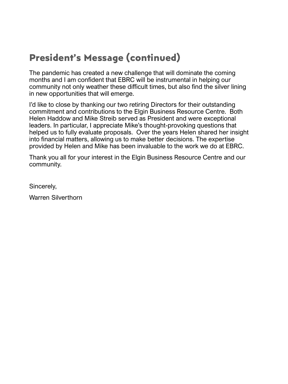### **President's Message (continued)**

The pandemic has created a new challenge that will dominate the coming months and I am confident that EBRC will be instrumental in helping our community not only weather these difficult times, but also find the silver lining in new opportunities that will emerge.

I'd like to close by thanking our two retiring Directors for their outstanding commitment and contributions to the Elgin Business Resource Centre. Both Helen Haddow and Mike Streib served as President and were exceptional leaders. In particular, I appreciate Mike's thought-provoking questions that helped us to fully evaluate proposals. Over the years Helen shared her insight into financial matters, allowing us to make better decisions. The expertise provided by Helen and Mike has been invaluable to the work we do at EBRC.

Thank you all for your interest in the Elgin Business Resource Centre and our community.

Sincerely,

Warren Silverthorn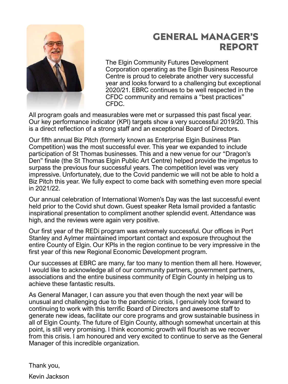

### **GENERAL MANAGER'S REPORT**

The Elgin Community Futures Development Corporation operating as the Elgin Business Resource Centre is proud to celebrate another very successful year and looks forward to a challenging but exceptional 2020/21. EBRC continues to be well respected in the CFDC community and remains a "best practices" CFDC.

All program goals and measurables were met or surpassed this past fiscal year. Our key performance indicator (KPI) targets show a very successful 2019/20. This is a direct reflection of a strong staff and an exceptional Board of Directors.

Our fifth annual Biz Pitch (formerly known as Enterprise Elgin Business Plan Competition) was the most successful ever. This year we expanded to include participation of St Thomas businesses. This and a new venue for our "Dragon's Den" finale (the St Thomas Elgin Public Art Centre) helped provide the impetus to surpass the previous four successful years. The competition level was very impressive. Unfortunately, due to the Covid pandemic we will not be able to hold a Biz Pitch this year. We fully expect to come back with something even more special in 2021/22.

Our annual celebration of International Women's Day was the last successful event held prior to the Covid shut down. Guest speaker Reta Ismail provided a fantastic inspirational presentation to compliment another splendid event. Attendance was high, and the reviews were again very positive.

Our first year of the REDi program was extremely successful. Our offices in Port Stanley and Aylmer maintained important contact and exposure throughout the entire County of Elgin. Our KPIs in the region continue to be very impressive in the first year of this new Regional Economic Development program.

Our successes at EBRC are many, far too many to mention them all here. However, I would like to acknowledge all of our community partners, government partners, associations and the entire business community of Elgin County in helping us to achieve these fantastic results.

As General Manager, I can assure you that even though the next year will be unusual and challenging due to the pandemic crisis, I genuinely look forward to continuing to work with this terrific Board of Directors and awesome staff to generate new ideas, facilitate our core programs and grow sustainable business in all of Elgin County. The future of Elgin County, although somewhat uncertain at this point, is still very promising. I think economic growth will flourish as we recover from this crisis. I am honoured and very excited to continue to serve as the General Manager of this incredible organization.

Thank you,

Kevin Jackson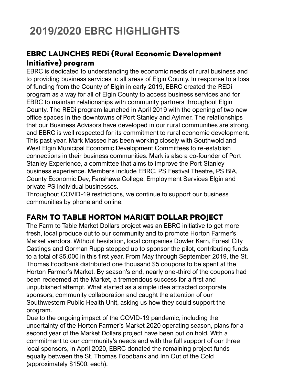# **2019/2020 EBRC HIGHLIGHTS**

#### **EBRC LAUNCHES REDi (Rural Economic Development Initiative) program**

EBRC is dedicated to understanding the economic needs of rural business and to providing business services to all areas of Elgin County. In response to a loss of funding from the County of Elgin in early 2019, EBRC created the REDi program as a way for all of Elgin County to access business services and for EBRC to maintain relationships with community partners throughout Elgin County. The REDi program launched in April 2019 with the opening of two new office spaces in the downtowns of Port Stanley and Aylmer. The relationships that our Business Advisors have developed in our rural communities are strong, and EBRC is well respected for its commitment to rural economic development. This past year, Mark Masseo has been working closely with Southwold and West Elgin Municipal Economic Development Committees to re-establish connections in their business communities. Mark is also a co-founder of Port Stanley Experience, a committee that aims to improve the Port Stanley business experience. Members include EBRC, PS Festival Theatre, PS BIA, County Economic Dev, Fanshawe College, Employment Services Elgin and private PS individual businesses.

Throughout COVID-19 restrictions, we continue to support our business communities by phone and online.

#### **FARM TO TABLE HORTON MARKET DOLLAR PROJECT**

The Farm to Table Market Dollars project was an EBRC initiative to get more fresh, local produce out to our community and to promote Horton Farmer's Market vendors. Without hesitation, local companies Dowler Karn, Forest City Castings and Gorman Rupp stepped up to sponsor the pilot, contributing funds to a total of \$5,000 in this first year. From May through September 2019, the St. Thomas Foodbank distributed one thousand \$5 coupons to be spent at the Horton Farmer's Market. By season's end, nearly one-third of the coupons had been redeemed at the Market, a tremendous success for a first and unpublished attempt. What started as a simple idea attracted corporate sponsors, community collaboration and caught the attention of our Southwestern Public Health Unit, asking us how they could support the program.

Due to the ongoing impact of the COVID-19 pandemic, including the uncertainty of the Horton Farmer's Market 2020 operating season, plans for a second year of the Market Dollars project have been put on hold. With a commitment to our community's needs and with the full support of our three local sponsors, in April 2020, EBRC donated the remaining project funds equally between the St. Thomas Foodbank and Inn Out of the Cold (approximately \$1500. each).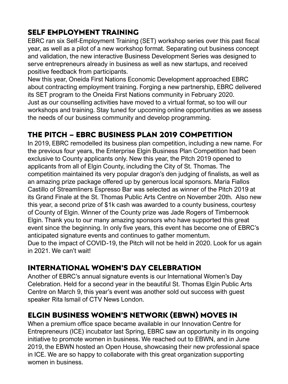#### **SELF EMPLOYMENT TRAINING**

EBRC ran six Self-Employment Training (SET) workshop series over this past fiscal year, as well as a pilot of a new workshop format. Separating out business concept and validation, the new interactive Business Development Series was designed to serve entrepreneurs already in business as well as new startups, and received positive feedback from participants.

New this year, Oneida First Nations Economic Development approached EBRC about contracting employment training. Forging a new partnership, EBRC delivered its SET program to the Oneida First Nations community in February 2020. Just as our counselling activities have moved to a virtual format, so too will our workshops and training. Stay tuned for upcoming online opportunities as we assess the needs of our business community and develop programming.

#### **THE PITCH – EBRC BUSINESS PLAN 2019 COMPETITION**

In 2019, EBRC remodelled its business plan competition, including a new name. For the previous four years, the Enterprise Elgin Business Plan Competition had been exclusive to County applicants only. New this year, the Pitch 2019 opened to applicants from all of Elgin County, including the City of St. Thomas. The competition maintained its very popular dragon's den judging of finalists, as well as an amazing prize package offered up by generous local sponsors. Maria Fiallos Castillo of Streamliners Espresso Bar was selected as winner of the Pitch 2019 at its Grand Finale at the St. Thomas Public Arts Centre on November 20th. Also new this year, a second prize of \$1k cash was awarded to a county business, courtesy of County of Elgin. Winner of the County prize was Jade Rogers of Timbernook Elgin. Thank you to our many amazing sponsors who have supported this great event since the beginning. In only five years, this event has become one of EBRC's anticipated signature events and continues to gather momentum. Due to the impact of COVID-19, the Pitch will not be held in 2020. Look for us again

in 2021. We can't wait!

#### **INTERNATIONAL WOMEN'S DAY CELEBRATION**

Another of EBRC's annual signature events is our International Women's Day Celebration. Held for a second year in the beautiful St. Thomas Elgin Public Arts Centre on March 9, this year's event was another sold out success with guest speaker Rita Ismail of CTV News London.

#### **ELGIN BUSINESS WOMEN'S NETWORK (EBWN) MOVES IN**

When a premium office space became available in our Innovation Centre for Entrepreneurs (ICE) incubator last Spring, EBRC saw an opportunity in its ongoing initiative to promote women in business. We reached out to EBWN, and in June 2019, the EBWN hosted an Open House, showcasing their new professional space in ICE. We are so happy to collaborate with this great organization supporting women in business.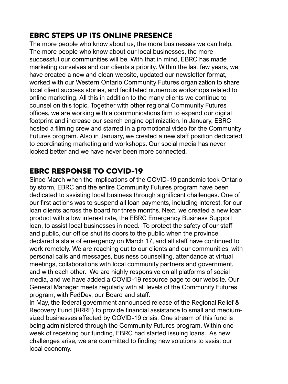#### **EBRC STEPS UP ITS ONLINE PRESENCE**

The more people who know about us, the more businesses we can help. The more people who know about our local businesses, the more successful our communities will be. With that in mind, EBRC has made marketing ourselves and our clients a priority. Within the last few years, we have created a new and clean website, updated our newsletter format, worked with our Western Ontario Community Futures organization to share local client success stories, and facilitated numerous workshops related to online marketing. All this in addition to the many clients we continue to counsel on this topic. Together with other regional Community Futures offices, we are working with a communications firm to expand our digital footprint and increase our search engine optimization. In January, EBRC hosted a filming crew and starred in a promotional video for the Community Futures program. Also in January, we created a new staff position dedicated to coordinating marketing and workshops. Our social media has never looked better and we have never been more connected.

#### **EBRC RESPONSE TO COVID-19**

Since March when the implications of the COVID-19 pandemic took Ontario by storm, EBRC and the entire Community Futures program have been dedicated to assisting local business through significant challenges. One of our first actions was to suspend all loan payments, including interest, for our loan clients across the board for three months. Next, we created a new loan product with a low interest rate, the EBRC Emergency Business Support loan, to assist local businesses in need. To protect the safety of our staff and public, our office shut its doors to the public when the province declared a state of emergency on March 17, and all staff have continued to work remotely. We are reaching out to our clients and our communities, with personal calls and messages, business counselling, attendance at virtual meetings, collaborations with local community partners and government, and with each other. We are highly responsive on all platforms of social media, and we have added a COVID-19 resource page to our website. Our General Manager meets regularly with all levels of the Community Futures program, with FedDev, our Board and staff.

In May, the federal government announced release of the Regional Relief & Recovery Fund (RRRF) to provide financial assistance to small and mediumsized businesses affected by COVID-19 crisis. One stream of this fund is being administered through the Community Futures program. Within one week of receiving our funding, EBRC had started issuing loans. As new challenges arise, we are committed to finding new solutions to assist our local economy.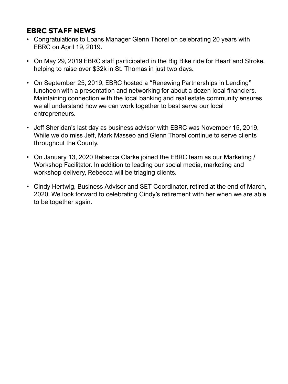#### **EBRC STAFF NEWS**

- Congratulations to Loans Manager Glenn Thorel on celebrating 20 years with EBRC on April 19, 2019.
- On May 29, 2019 EBRC staff participated in the Big Bike ride for Heart and Stroke, helping to raise over \$32k in St. Thomas in just two days.
- On September 25, 2019, EBRC hosted a "Renewing Partnerships in Lending" luncheon with a presentation and networking for about a dozen local financiers. Maintaining connection with the local banking and real estate community ensures we all understand how we can work together to best serve our local entrepreneurs.
- Jeff Sheridan's last day as business advisor with EBRC was November 15, 2019. While we do miss Jeff, Mark Masseo and Glenn Thorel continue to serve clients throughout the County.
- On January 13, 2020 Rebecca Clarke joined the EBRC team as our Marketing / Workshop Facilitator. In addition to leading our social media, marketing and workshop delivery, Rebecca will be triaging clients.
- Cindy Hertwig, Business Advisor and SET Coordinator, retired at the end of March, 2020. We look forward to celebrating Cindy's retirement with her when we are able to be together again.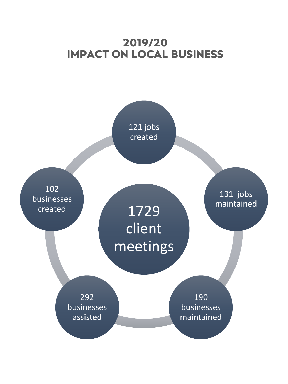### **2019/20 IMPACT ON LOCAL BUSINESS**

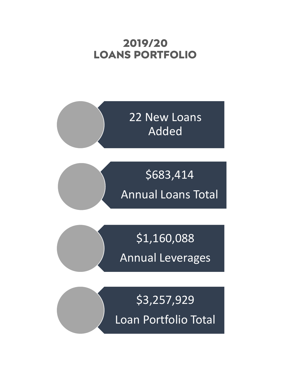### **2019/20 LOANS PORTFOLIO**



\$683,414 Annual Loans Total

\$1,160,088 Annual Leverages

\$3,257,929 Loan Portfolio Total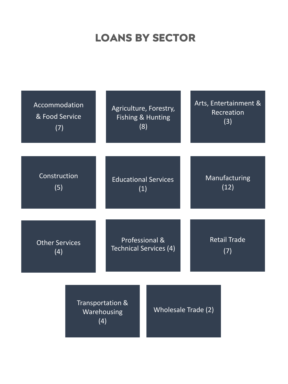## **LOANS BY SECTOR**

| Accommodation         | Agriculture, Forestry,                 | Arts, Entertainment & |
|-----------------------|----------------------------------------|-----------------------|
| & Food Service        | Fishing & Hunting                      | Recreation            |
| (7)                   | (8)                                    | (3)                   |
| Construction          | <b>Educational Services</b>            | Manufacturing         |
| (5)                   | (1)                                    | (12)                  |
| <b>Other Services</b> | Professional &                         | <b>Retail Trade</b>   |
| (4)                   | <b>Technical Services (4)</b>          | (7)                   |
|                       | Transportation &<br>Warehousing<br>(4) | Wholesale Trade (2)   |